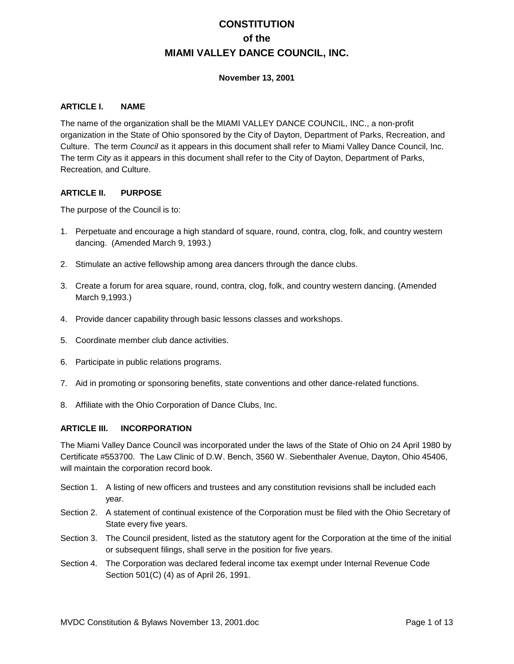# **CONSTITUTION of the MIAMI VALLEY DANCE COUNCIL, INC.**

### **November 13, 2001**

### **ARTICLE I. NAME**

The name of the organization shall be the MIAMI VALLEY DANCE COUNCIL, INC., a non-profit organization in the State of Ohio sponsored by the City of Dayton, Department of Parks, Recreation, and Culture. The term *Council* as it appears in this document shall refer to Miami Valley Dance Council, Inc. The term *City* as it appears in this document shall refer to the City of Dayton, Department of Parks, Recreation, and Culture.

### **ARTICLE II. PURPOSE**

The purpose of the Council is to:

- 1. Perpetuate and encourage a high standard of square, round, contra, clog, folk, and country western dancing. (Amended March 9, 1993.)
- 2. Stimulate an active fellowship among area dancers through the dance clubs.
- 3. Create a forum for area square, round, contra, clog, folk, and country western dancing. (Amended March 9,1993.)
- 4. Provide dancer capability through basic lessons classes and workshops.
- 5. Coordinate member club dance activities.
- 6. Participate in public relations programs.
- 7. Aid in promoting or sponsoring benefits, state conventions and other dance-related functions.
- 8. Affiliate with the Ohio Corporation of Dance Clubs, Inc.

## **ARTICLE III. INCORPORATION**

The Miami Valley Dance Council was incorporated under the laws of the State of Ohio on 24 April 1980 by Certificate #553700. The Law Clinic of D.W. Bench, 3560 W. Siebenthaler Avenue, Dayton, Ohio 45406, will maintain the corporation record book.

- Section 1. A listing of new officers and trustees and any constitution revisions shall be included each year.
- Section 2. A statement of continual existence of the Corporation must be filed with the Ohio Secretary of State every five years.
- Section 3. The Council president, listed as the statutory agent for the Corporation at the time of the initial or subsequent filings, shall serve in the position for five years.
- Section 4. The Corporation was declared federal income tax exempt under Internal Revenue Code Section 501(C) (4) as of April 26, 1991.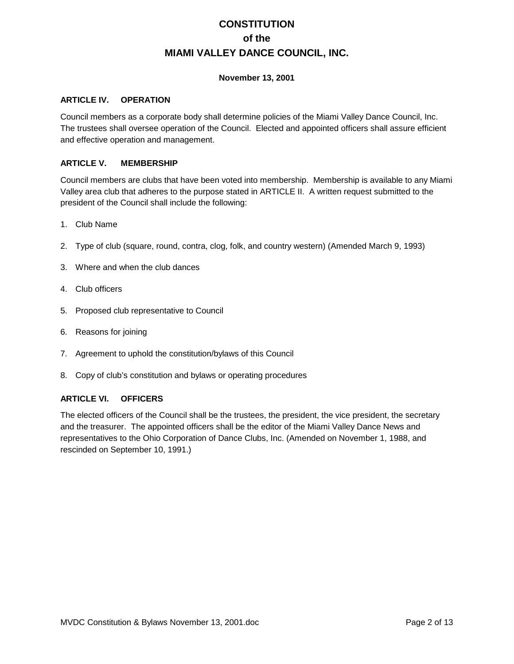## **CONSTITUTION of the MIAMI VALLEY DANCE COUNCIL, INC.**

## **November 13, 2001**

#### **ARTICLE IV. OPERATION**

Council members as a corporate body shall determine policies of the Miami Valley Dance Council, Inc. The trustees shall oversee operation of the Council. Elected and appointed officers shall assure efficient and effective operation and management.

### **ARTICLE V. MEMBERSHIP**

Council members are clubs that have been voted into membership. Membership is available to any Miami Valley area club that adheres to the purpose stated in ARTICLE II. A written request submitted to the president of the Council shall include the following:

- 1. Club Name
- 2. Type of club (square, round, contra, clog, folk, and country western) (Amended March 9, 1993)
- 3. Where and when the club dances
- 4. Club officers
- 5. Proposed club representative to Council
- 6. Reasons for joining
- 7. Agreement to uphold the constitution/bylaws of this Council
- 8. Copy of club's constitution and bylaws or operating procedures

## **ARTICLE VI. OFFICERS**

The elected officers of the Council shall be the trustees, the president, the vice president, the secretary and the treasurer. The appointed officers shall be the editor of the Miami Valley Dance News and representatives to the Ohio Corporation of Dance Clubs, Inc. (Amended on November 1, 1988, and rescinded on September 10, 1991.)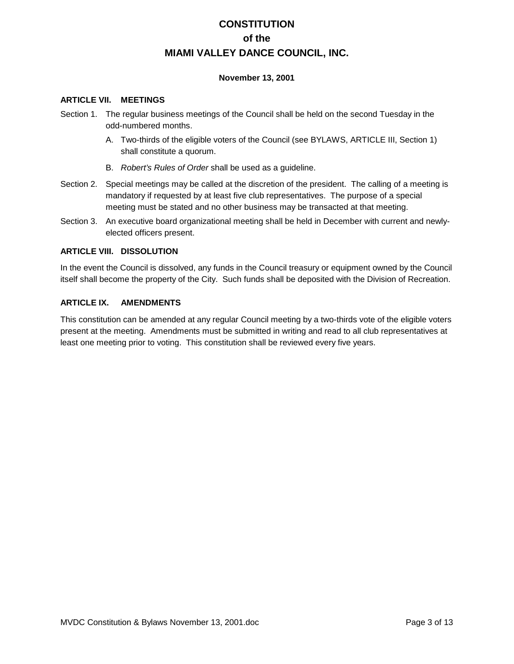## **CONSTITUTION of the MIAMI VALLEY DANCE COUNCIL, INC.**

### **November 13, 2001**

#### **ARTICLE VII. MEETINGS**

- Section 1. The regular business meetings of the Council shall be held on the second Tuesday in the odd-numbered months.
	- A. Two-thirds of the eligible voters of the Council (see BYLAWS, ARTICLE III, Section 1) shall constitute a quorum.
	- B. *Robert's Rules of Order* shall be used as a guideline.
- Section 2. Special meetings may be called at the discretion of the president. The calling of a meeting is mandatory if requested by at least five club representatives. The purpose of a special meeting must be stated and no other business may be transacted at that meeting.
- Section 3. An executive board organizational meeting shall be held in December with current and newlyelected officers present.

### **ARTICLE VIII. DISSOLUTION**

In the event the Council is dissolved, any funds in the Council treasury or equipment owned by the Council itself shall become the property of the City. Such funds shall be deposited with the Division of Recreation.

### **ARTICLE IX. AMENDMENTS**

This constitution can be amended at any regular Council meeting by a two-thirds vote of the eligible voters present at the meeting. Amendments must be submitted in writing and read to all club representatives at least one meeting prior to voting. This constitution shall be reviewed every five years.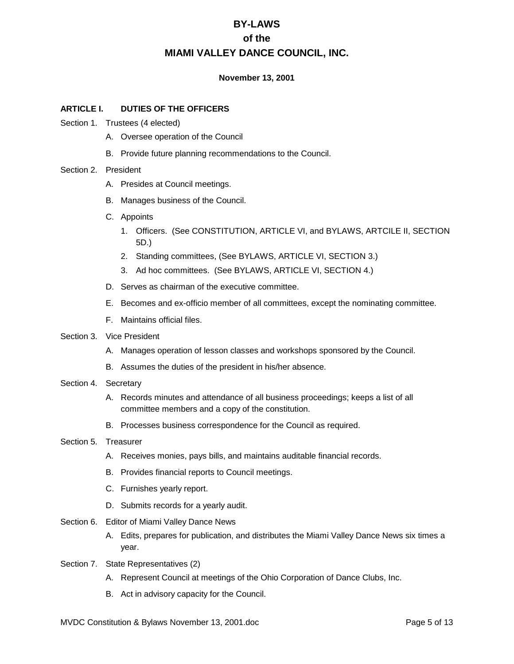### **November 13, 2001**

### **ARTICLE I. DUTIES OF THE OFFICERS**

- Section 1. Trustees (4 elected)
	- A. Oversee operation of the Council
	- B. Provide future planning recommendations to the Council.

#### Section 2. President

- A. Presides at Council meetings.
- B. Manages business of the Council.
- C. Appoints
	- 1. Officers. (See CONSTITUTION, ARTICLE VI, and BYLAWS, ARTCILE II, SECTION 5D.)
	- 2. Standing committees, (See BYLAWS, ARTICLE VI, SECTION 3.)
	- 3. Ad hoc committees. (See BYLAWS, ARTICLE VI, SECTION 4.)
- D. Serves as chairman of the executive committee.
- E. Becomes and ex-officio member of all committees, except the nominating committee.
- F. Maintains official files.
- Section 3. Vice President
	- A. Manages operation of lesson classes and workshops sponsored by the Council.
	- B. Assumes the duties of the president in his/her absence.
- Section 4. Secretary
	- A. Records minutes and attendance of all business proceedings; keeps a list of all committee members and a copy of the constitution.
	- B. Processes business correspondence for the Council as required.

#### Section 5. Treasurer

- A. Receives monies, pays bills, and maintains auditable financial records.
- B. Provides financial reports to Council meetings.
- C. Furnishes yearly report.
- D. Submits records for a yearly audit.
- Section 6. Editor of Miami Valley Dance News
	- A. Edits, prepares for publication, and distributes the Miami Valley Dance News six times a year.
- Section 7. State Representatives (2)
	- A. Represent Council at meetings of the Ohio Corporation of Dance Clubs, Inc.
	- B. Act in advisory capacity for the Council.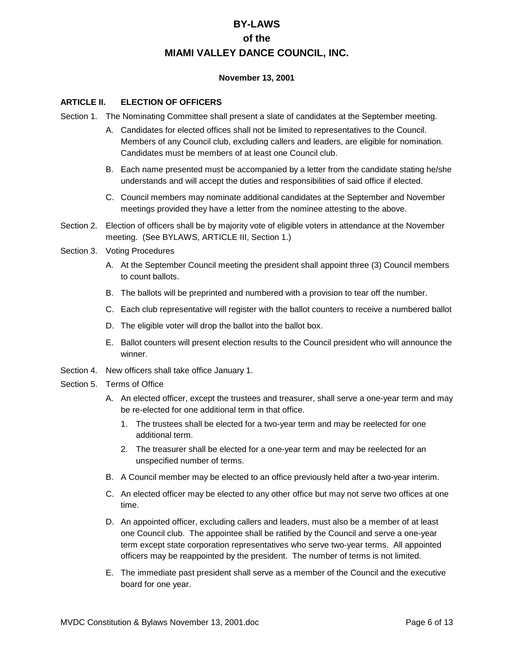### **November 13, 2001**

### **ARTICLE II. ELECTION OF OFFICERS**

- Section 1. The Nominating Committee shall present a slate of candidates at the September meeting.
	- A. Candidates for elected offices shall not be limited to representatives to the Council. Members of any Council club, excluding callers and leaders, are eligible for nomination. Candidates must be members of at least one Council club.
	- B. Each name presented must be accompanied by a letter from the candidate stating he/she understands and will accept the duties and responsibilities of said office if elected.
	- C. Council members may nominate additional candidates at the September and November meetings provided they have a letter from the nominee attesting to the above.
- Section 2. Election of officers shall be by majority vote of eligible voters in attendance at the November meeting. (See BYLAWS, ARTICLE III, Section 1.)

#### Section 3. Voting Procedures

- A. At the September Council meeting the president shall appoint three (3) Council members to count ballots.
- B. The ballots will be preprinted and numbered with a provision to tear off the number.
- C. Each club representative will register with the ballot counters to receive a numbered ballot
- D. The eligible voter will drop the ballot into the ballot box.
- E. Ballot counters will present election results to the Council president who will announce the winner.
- Section 4. New officers shall take office January 1.
- Section 5. Terms of Office
	- A. An elected officer, except the trustees and treasurer, shall serve a one-year term and may be re-elected for one additional term in that office.
		- 1. The trustees shall be elected for a two-year term and may be reelected for one additional term.
		- 2. The treasurer shall be elected for a one-year term and may be reelected for an unspecified number of terms.
	- B. A Council member may be elected to an office previously held after a two-year interim.
	- C. An elected officer may be elected to any other office but may not serve two offices at one time.
	- D. An appointed officer, excluding callers and leaders, must also be a member of at least one Council club. The appointee shall be ratified by the Council and serve a one-year term except state corporation representatives who serve two-year terms. All appointed officers may be reappointed by the president. The number of terms is not limited.
	- E. The immediate past president shall serve as a member of the Council and the executive board for one year.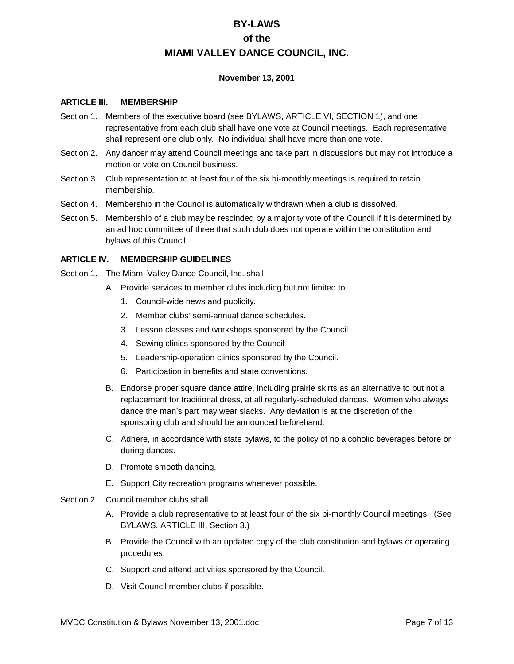### **November 13, 2001**

#### **ARTICLE III. MEMBERSHIP**

- Section 1. Members of the executive board (see BYLAWS, ARTICLE VI, SECTION 1), and one representative from each club shall have one vote at Council meetings. Each representative shall represent one club only. No individual shall have more than one vote.
- Section 2. Any dancer may attend Council meetings and take part in discussions but may not introduce a motion or vote on Council business.
- Section 3. Club representation to at least four of the six bi-monthly meetings is required to retain membership.
- Section 4. Membership in the Council is automatically withdrawn when a club is dissolved.
- Section 5. Membership of a club may be rescinded by a majority vote of the Council if it is determined by an ad hoc committee of three that such club does not operate within the constitution and bylaws of this Council.

#### **ARTICLE IV. MEMBERSHIP GUIDELINES**

- Section 1. The Miami Valley Dance Council, Inc. shall
	- A. Provide services to member clubs including but not limited to
		- 1. Council-wide news and publicity.
		- 2. Member clubs' semi-annual dance schedules.
		- 3. Lesson classes and workshops sponsored by the Council
		- 4. Sewing clinics sponsored by the Council
		- 5. Leadership-operation clinics sponsored by the Council.
		- 6. Participation in benefits and state conventions.
	- B. Endorse proper square dance attire, including prairie skirts as an alternative to but not a replacement for traditional dress, at all regularly-scheduled dances. Women who always dance the man's part may wear slacks. Any deviation is at the discretion of the sponsoring club and should be announced beforehand.
	- C. Adhere, in accordance with state bylaws, to the policy of no alcoholic beverages before or during dances.
	- D. Promote smooth dancing.
	- E. Support City recreation programs whenever possible.
- Section 2. Council member clubs shall
	- A. Provide a club representative to at least four of the six bi-monthly Council meetings. (See BYLAWS, ARTICLE III, Section 3.)
	- B. Provide the Council with an updated copy of the club constitution and bylaws or operating procedures.
	- C. Support and attend activities sponsored by the Council.
	- D. Visit Council member clubs if possible.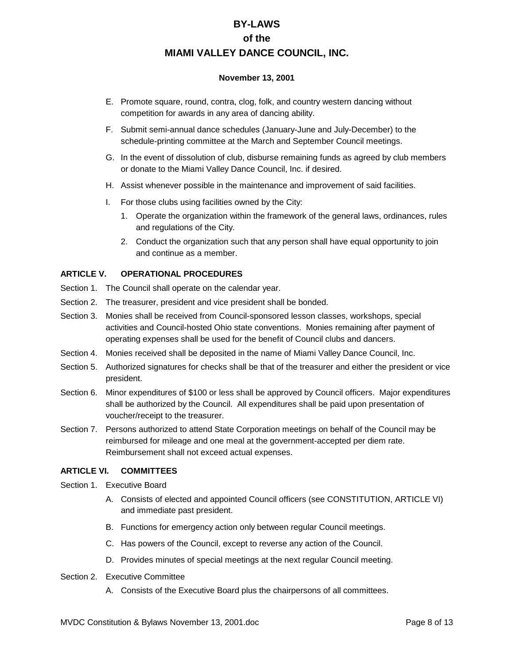### **November 13, 2001**

- E. Promote square, round, contra, clog, folk, and country western dancing without competition for awards in any area of dancing ability.
- F. Submit semi-annual dance schedules (January-June and July-December) to the schedule-printing committee at the March and September Council meetings.
- G. In the event of dissolution of club, disburse remaining funds as agreed by club members or donate to the Miami Valley Dance Council, Inc. if desired.
- H. Assist whenever possible in the maintenance and improvement of said facilities.
- I. For those clubs using facilities owned by the City:
	- 1. Operate the organization within the framework of the general laws, ordinances, rules and regulations of the City.
	- 2. Conduct the organization such that any person shall have equal opportunity to join and continue as a member.

## **ARTICLE V. OPERATIONAL PROCEDURES**

- Section 1. The Council shall operate on the calendar year.
- Section 2. The treasurer, president and vice president shall be bonded.
- Section 3. Monies shall be received from Council-sponsored lesson classes, workshops, special activities and Council-hosted Ohio state conventions. Monies remaining after payment of operating expenses shall be used for the benefit of Council clubs and dancers.
- Section 4. Monies received shall be deposited in the name of Miami Valley Dance Council, Inc.
- Section 5. Authorized signatures for checks shall be that of the treasurer and either the president or vice president.
- Section 6. Minor expenditures of \$100 or less shall be approved by Council officers. Major expenditures shall be authorized by the Council. All expenditures shall be paid upon presentation of voucher/receipt to the treasurer.
- Section 7. Persons authorized to attend State Corporation meetings on behalf of the Council may be reimbursed for mileage and one meal at the government-accepted per diem rate. Reimbursement shall not exceed actual expenses.

## **ARTICLE VI. COMMITTEES**

Section 1. Executive Board

- A. Consists of elected and appointed Council officers (see CONSTITUTION, ARTICLE VI) and immediate past president.
- B. Functions for emergency action only between regular Council meetings.
- C. Has powers of the Council, except to reverse any action of the Council.
- D. Provides minutes of special meetings at the next regular Council meeting.
- Section 2. Executive Committee
	- A. Consists of the Executive Board plus the chairpersons of all committees.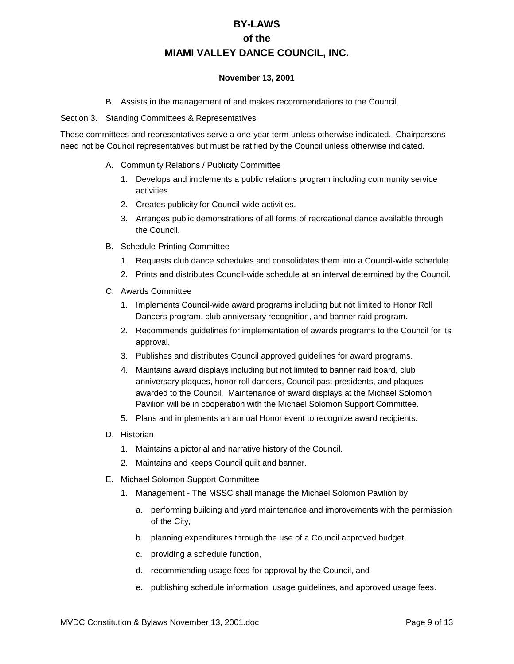#### **November 13, 2001**

B. Assists in the management of and makes recommendations to the Council.

#### Section 3. Standing Committees & Representatives

These committees and representatives serve a one-year term unless otherwise indicated. Chairpersons need not be Council representatives but must be ratified by the Council unless otherwise indicated.

- A. Community Relations / Publicity Committee
	- 1. Develops and implements a public relations program including community service activities.
	- 2. Creates publicity for Council-wide activities.
	- 3. Arranges public demonstrations of all forms of recreational dance available through the Council.
- B. Schedule-Printing Committee
	- 1. Requests club dance schedules and consolidates them into a Council-wide schedule.
	- 2. Prints and distributes Council-wide schedule at an interval determined by the Council.
- C. Awards Committee
	- 1. Implements Council-wide award programs including but not limited to Honor Roll Dancers program, club anniversary recognition, and banner raid program.
	- 2. Recommends guidelines for implementation of awards programs to the Council for its approval.
	- 3. Publishes and distributes Council approved guidelines for award programs.
	- 4. Maintains award displays including but not limited to banner raid board, club anniversary plaques, honor roll dancers, Council past presidents, and plaques awarded to the Council. Maintenance of award displays at the Michael Solomon Pavilion will be in cooperation with the Michael Solomon Support Committee.
	- 5. Plans and implements an annual Honor event to recognize award recipients.
- D. Historian
	- 1. Maintains a pictorial and narrative history of the Council.
	- 2. Maintains and keeps Council quilt and banner.
- E. Michael Solomon Support Committee
	- 1. Management The MSSC shall manage the Michael Solomon Pavilion by
		- a. performing building and yard maintenance and improvements with the permission of the City,
		- b. planning expenditures through the use of a Council approved budget,
		- c. providing a schedule function,
		- d. recommending usage fees for approval by the Council, and
		- e. publishing schedule information, usage guidelines, and approved usage fees.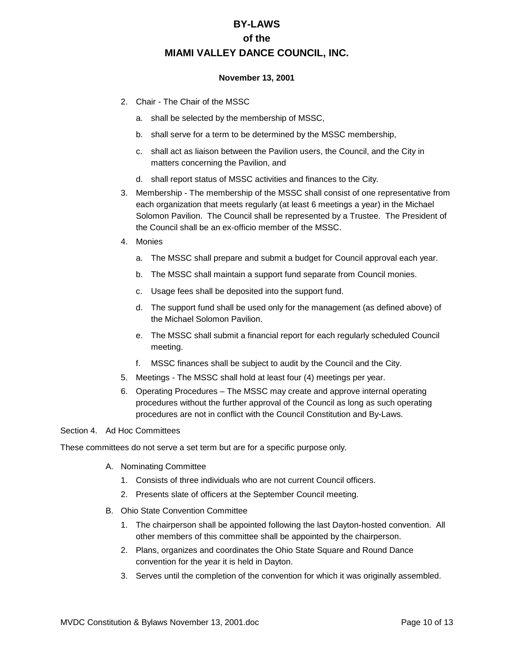### **November 13, 2001**

- 2. Chair The Chair of the MSSC
	- a. shall be selected by the membership of MSSC,
	- b. shall serve for a term to be determined by the MSSC membership,
	- c. shall act as liaison between the Pavilion users, the Council, and the City in matters concerning the Pavilion, and
	- d. shall report status of MSSC activities and finances to the City.
- 3. Membership The membership of the MSSC shall consist of one representative from each organization that meets regularly (at least 6 meetings a year) in the Michael Solomon Pavilion. The Council shall be represented by a Trustee. The President of the Council shall be an ex-officio member of the MSSC.
- 4. Monies
	- a. The MSSC shall prepare and submit a budget for Council approval each year.
	- b. The MSSC shall maintain a support fund separate from Council monies.
	- c. Usage fees shall be deposited into the support fund.
	- d. The support fund shall be used only for the management (as defined above) of the Michael Solomon Pavilion.
	- e. The MSSC shall submit a financial report for each regularly scheduled Council meeting.
	- f. MSSC finances shall be subject to audit by the Council and the City.
- 5. Meetings The MSSC shall hold at least four (4) meetings per year.
- 6. Operating Procedures The MSSC may create and approve internal operating procedures without the further approval of the Council as long as such operating procedures are not in conflict with the Council Constitution and By-Laws.

## Section 4. Ad Hoc Committees

These committees do not serve a set term but are for a specific purpose only.

- A. Nominating Committee
	- 1. Consists of three individuals who are not current Council officers.
	- 2. Presents slate of officers at the September Council meeting.
- B. Ohio State Convention Committee
	- 1. The chairperson shall be appointed following the last Dayton-hosted convention. All other members of this committee shall be appointed by the chairperson.
	- 2. Plans, organizes and coordinates the Ohio State Square and Round Dance convention for the year it is held in Dayton.
	- 3. Serves until the completion of the convention for which it was originally assembled.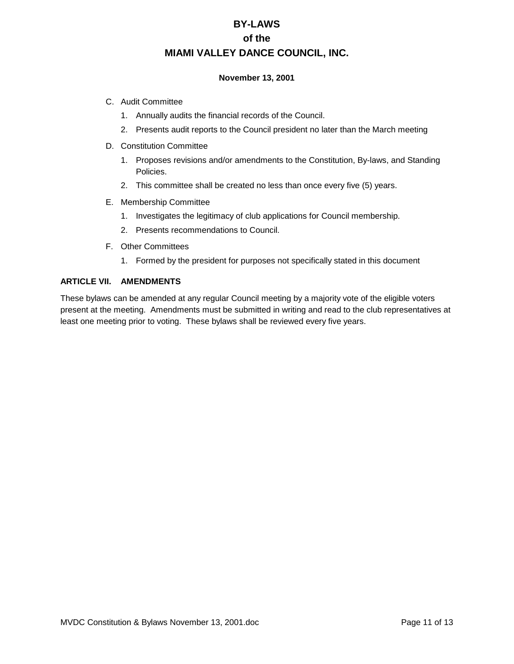### **November 13, 2001**

- C. Audit Committee
	- 1. Annually audits the financial records of the Council.
	- 2. Presents audit reports to the Council president no later than the March meeting
- D. Constitution Committee
	- 1. Proposes revisions and/or amendments to the Constitution, By-laws, and Standing Policies.
	- 2. This committee shall be created no less than once every five (5) years.
- E. Membership Committee
	- 1. Investigates the legitimacy of club applications for Council membership.
	- 2. Presents recommendations to Council.
- F. Other Committees
	- 1. Formed by the president for purposes not specifically stated in this document

### **ARTICLE VII. AMENDMENTS**

These bylaws can be amended at any regular Council meeting by a majority vote of the eligible voters present at the meeting. Amendments must be submitted in writing and read to the club representatives at least one meeting prior to voting. These bylaws shall be reviewed every five years.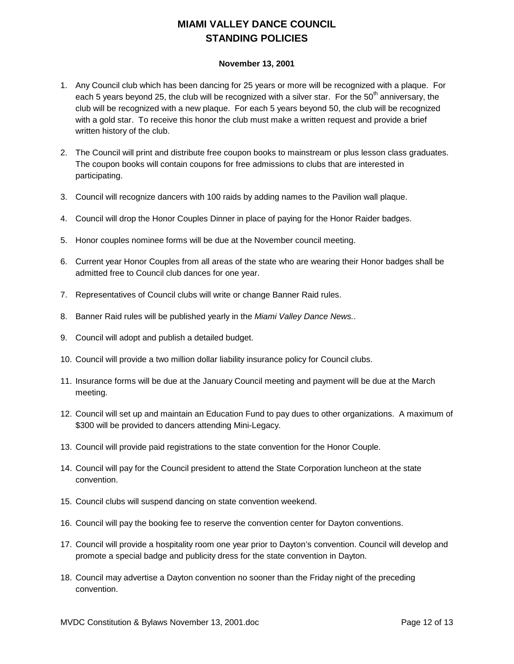# **MIAMI VALLEY DANCE COUNCIL STANDING POLICIES**

### **November 13, 2001**

- 1. Any Council club which has been dancing for 25 years or more will be recognized with a plaque. For each 5 years beyond 25, the club will be recognized with a silver star. For the  $50<sup>th</sup>$  anniversary, the club will be recognized with a new plaque. For each 5 years beyond 50, the club will be recognized with a gold star. To receive this honor the club must make a written request and provide a brief written history of the club.
- 2. The Council will print and distribute free coupon books to mainstream or plus lesson class graduates. The coupon books will contain coupons for free admissions to clubs that are interested in participating.
- 3. Council will recognize dancers with 100 raids by adding names to the Pavilion wall plaque.
- 4. Council will drop the Honor Couples Dinner in place of paying for the Honor Raider badges.
- 5. Honor couples nominee forms will be due at the November council meeting.
- 6. Current year Honor Couples from all areas of the state who are wearing their Honor badges shall be admitted free to Council club dances for one year.
- 7. Representatives of Council clubs will write or change Banner Raid rules.
- 8. Banner Raid rules will be published yearly in the *Miami Valley Dance News.*.
- 9. Council will adopt and publish a detailed budget.
- 10. Council will provide a two million dollar liability insurance policy for Council clubs.
- 11. Insurance forms will be due at the January Council meeting and payment will be due at the March meeting.
- 12. Council will set up and maintain an Education Fund to pay dues to other organizations. A maximum of \$300 will be provided to dancers attending Mini-Legacy.
- 13. Council will provide paid registrations to the state convention for the Honor Couple.
- 14. Council will pay for the Council president to attend the State Corporation luncheon at the state convention.
- 15. Council clubs will suspend dancing on state convention weekend.
- 16. Council will pay the booking fee to reserve the convention center for Dayton conventions.
- 17. Council will provide a hospitality room one year prior to Dayton's convention. Council will develop and promote a special badge and publicity dress for the state convention in Dayton.
- 18. Council may advertise a Dayton convention no sooner than the Friday night of the preceding convention.